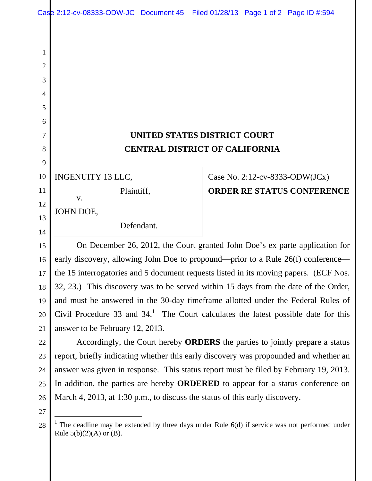|                | Case 2:12-cv-08333-ODW-JC Document 45 Filed 01/28/13 Page 1 of 2 Page ID #:594 |            |  |                                |                                   |  |
|----------------|--------------------------------------------------------------------------------|------------|--|--------------------------------|-----------------------------------|--|
|                |                                                                                |            |  |                                |                                   |  |
|                |                                                                                |            |  |                                |                                   |  |
| 1              |                                                                                |            |  |                                |                                   |  |
| $\overline{2}$ |                                                                                |            |  |                                |                                   |  |
| 3              |                                                                                |            |  |                                |                                   |  |
| 4              |                                                                                |            |  |                                |                                   |  |
| 5              |                                                                                |            |  |                                |                                   |  |
| 6              |                                                                                |            |  |                                |                                   |  |
| 7              | UNITED STATES DISTRICT COURT                                                   |            |  |                                |                                   |  |
| 8              | <b>CENTRAL DISTRICT OF CALIFORNIA</b>                                          |            |  |                                |                                   |  |
| 9              |                                                                                |            |  |                                |                                   |  |
| 10             | <b>INGENUITY 13 LLC,</b>                                                       |            |  | Case No. 2:12-cv-8333-ODW(JCx) |                                   |  |
| 11             | Plaintiff,<br>V.                                                               |            |  |                                | <b>ORDER RE STATUS CONFERENCE</b> |  |
| 12             | JOHN DOE,                                                                      |            |  |                                |                                   |  |
| 13             |                                                                                | Defendant. |  |                                |                                   |  |
| 14             |                                                                                |            |  |                                |                                   |  |
| 15             | On December 26, 2012, the Court granted John Doe's ex parte application for    |            |  |                                |                                   |  |

early discovery, allowing John Doe to propound—prior to a Rule 26(f) conference the 15 interrogatories and 5 document requests listed in its moving papers. (ECF Nos. 32, 23.) This discovery was to be served within 15 days from the date of the Order, and must be answered in the 30-day timeframe allotted under the Federal Rules of Civil Procedure 33 and  $34<sup>1</sup>$ . The Court calculates the latest possible date for this answer to be February 12, 2013. 16 17 18 19 20 21

Accordingly, the Court hereby **ORDERS** the parties to jointly prepare a status report, briefly indicating whether this early discovery was propounded and whether an answer was given in response. This status report must be filed by February 19, 2013. In addition, the parties are hereby **ORDERED** to appear for a status conference on March 4, 2013, at 1:30 p.m., to discuss the status of this early discovery.

26 27

22

23

24

25

 $\overline{a}$ 

<sup>&</sup>lt;sup>1</sup> The deadline may be extended by three days under Rule  $6(d)$  if service was not performed under Rule  $5(b)(2)(A)$  or  $(B)$ . 28